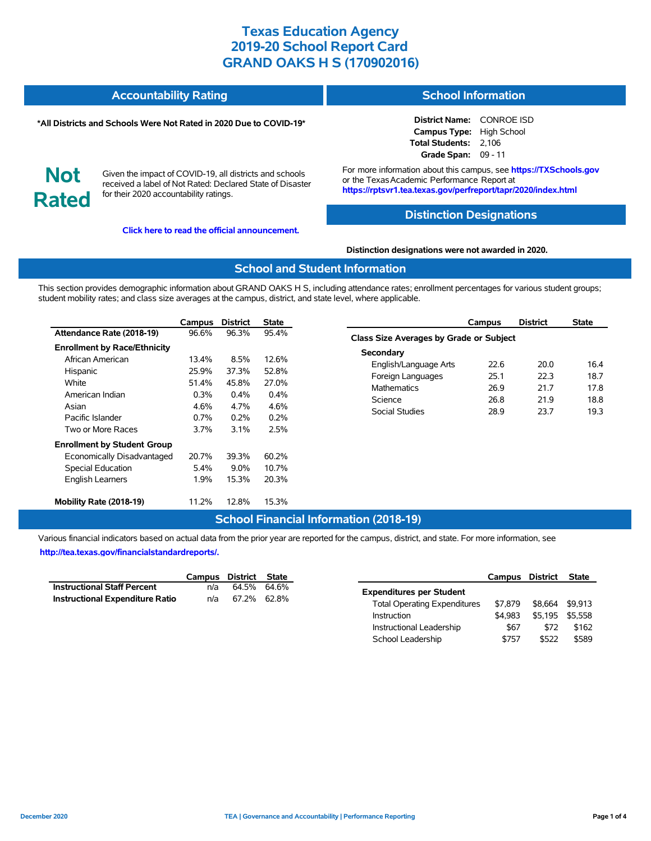#### **Accountability Rating School Information**

#### **\*All Districts and Schools Were Not Rated in 2020 Due to COVID-19\***

# **Not Rated**

Given the impact of COVID-19, all districts and schools received a label of Not Rated: Declared State of Disaster for their 2020 accountability ratings.

**[Click here to read the official announcement.](https://tea.texas.gov/about-tea/news-and-multimedia/correspondence/taa-letters/every-student-succeeds-act-essa-waiver-approval-2020-state-academic-accountability)**

**District Name:** CONROE ISD **Campus Type:** High School **Total Students:** 2,106 **Grade Span:** 09 - 11

For more information about this campus, see **https://TXSchools.gov** or the Texas Academic Performance Report at **https://rptsvr1.tea.texas.gov/perfreport/tapr/2020/index.html**

## **Distinction Designations**

#### **Distinction designations were not awarded in 2020.**

#### **School and Student Information**

This section provides demographic information about GRAND OAKS H S, including attendance rates; enrollment percentages for various student groups; student mobility rates; and class size averages at the campus, district, and state level, where applicable.

|                                     | Campus  | <b>District</b> | <b>State</b> |
|-------------------------------------|---------|-----------------|--------------|
| Attendance Rate (2018-19)           | 96.6%   | 96.3%           | 95.4%        |
| <b>Enrollment by Race/Ethnicity</b> |         |                 |              |
| African American                    | 13.4%   | 8.5%            | 12.6%        |
| Hispanic                            | 25.9%   | 37.3%           | 52.8%        |
| White                               | 51.4%   | 45.8%           | 27.0%        |
| American Indian                     | $0.3\%$ | $0.4\%$         | $0.4\%$      |
| Asian                               | 4.6%    | 4 7%            | 4.6%         |
| Pacific Islander                    | $0.7\%$ | $0.2\%$         | 0.2%         |
| Two or More Races                   | 3.7%    | 3.1%            | 2.5%         |
| <b>Enrollment by Student Group</b>  |         |                 |              |
| Economically Disadvantaged          | 20.7%   | 39.3%           | 60.2%        |
| <b>Special Education</b>            | $5.4\%$ | 9.0%            | 10.7%        |
| <b>English Learners</b>             | 1.9%    | 15.3%           | 20.3%        |
| Mobility Rate (2018-19)             | 11.2%   | 12.8%           | 15.3%        |

|                                         | Campus | <b>District</b> | <b>State</b> |  |  |  |  |  |  |  |
|-----------------------------------------|--------|-----------------|--------------|--|--|--|--|--|--|--|
| Class Size Averages by Grade or Subject |        |                 |              |  |  |  |  |  |  |  |
| Secondary                               |        |                 |              |  |  |  |  |  |  |  |
| English/Language Arts                   | 22 R   | 20.0            | 16.4         |  |  |  |  |  |  |  |
| Foreign Languages                       | 25.1   | 22.3            | 18.7         |  |  |  |  |  |  |  |
| <b>Mathematics</b>                      | 26.9   | 217             | 17.8         |  |  |  |  |  |  |  |
| Science                                 | 26.8   | 219             | 18.8         |  |  |  |  |  |  |  |
| Social Studies                          | 28.9   | 23.7            | 19.3         |  |  |  |  |  |  |  |
|                                         |        |                 |              |  |  |  |  |  |  |  |

## **School Financial Information (2018-19)**

Various financial indicators based on actual data from the prior year are reported for the campus, district, and state. For more information, see **[http://tea.texas.gov/financialstandardreports/.](http://tea.texas.gov/financialstandardreports/)**

|                                        | Campus District State |             |  |
|----------------------------------------|-----------------------|-------------|--|
| <b>Instructional Staff Percent</b>     | n/a                   | 64.5% 64.6% |  |
| <b>Instructional Expenditure Ratio</b> | n/a                   | 67.2% 62.8% |  |

|                                     | Campus District |         | <b>State</b> |
|-------------------------------------|-----------------|---------|--------------|
| <b>Expenditures per Student</b>     |                 |         |              |
| <b>Total Operating Expenditures</b> | \$7.879         | \$8.664 | \$9,913      |
| Instruction                         | \$4.983         | \$5.195 | \$5.558      |
| Instructional Leadership            | \$67            | \$72    | \$162        |
| School Leadership                   | \$757           | \$522   | \$589        |

Ĭ.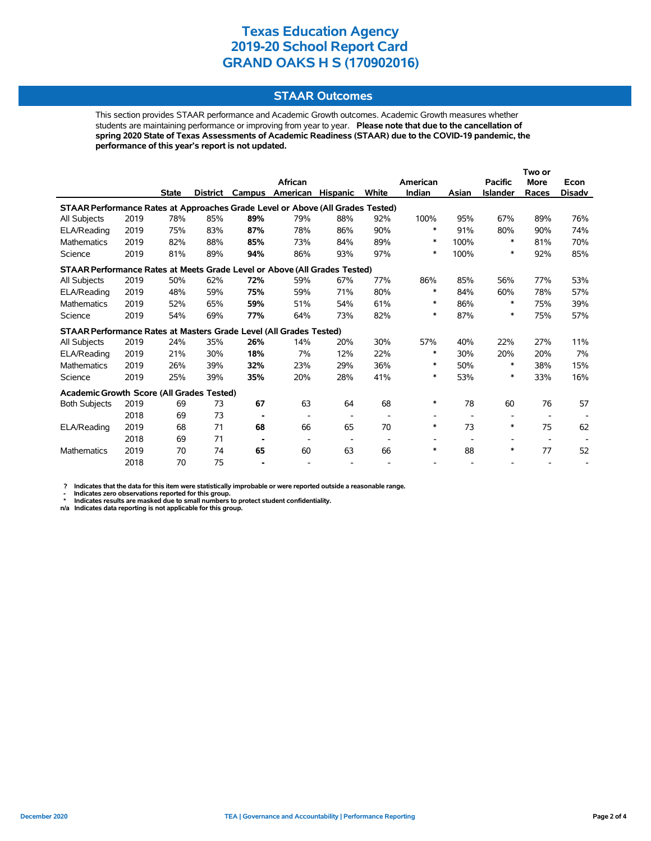## **STAAR Outcomes**

This section provides STAAR performance and Academic Growth outcomes. Academic Growth measures whether students are maintaining performance or improving from year to year. **Please note that due to the cancellation of spring 2020 State of Texas Assessments of Academic Readiness (STAAR) due to the COVID-19 pandemic, the performance of this year's report is not updated.**

|                                                                                |      |              |                 |        | African                  |                          |                          | American |       | <b>Pacific</b>  | Two or<br><b>More</b> | Econ   |
|--------------------------------------------------------------------------------|------|--------------|-----------------|--------|--------------------------|--------------------------|--------------------------|----------|-------|-----------------|-----------------------|--------|
|                                                                                |      | <b>State</b> | <b>District</b> | Campus | American                 | Hispanic                 | White                    | Indian   | Asian | <b>Islander</b> | Races                 | Disadv |
| STAAR Performance Rates at Approaches Grade Level or Above (All Grades Tested) |      |              |                 |        |                          |                          |                          |          |       |                 |                       |        |
| <b>All Subjects</b>                                                            | 2019 | 78%          | 85%             | 89%    | 79%                      | 88%                      | 92%                      | 100%     | 95%   | 67%             | 89%                   | 76%    |
| ELA/Reading                                                                    | 2019 | 75%          | 83%             | 87%    | 78%                      | 86%                      | 90%                      | $\ast$   | 91%   | 80%             | 90%                   | 74%    |
| Mathematics                                                                    | 2019 | 82%          | 88%             | 85%    | 73%                      | 84%                      | 89%                      | $\ast$   | 100%  | $\ast$          | 81%                   | 70%    |
| Science                                                                        | 2019 | 81%          | 89%             | 94%    | 86%                      | 93%                      | 97%                      | $\ast$   | 100%  | $\ast$          | 92%                   | 85%    |
| STAAR Performance Rates at Meets Grade Level or Above (All Grades Tested)      |      |              |                 |        |                          |                          |                          |          |       |                 |                       |        |
| All Subjects                                                                   | 2019 | 50%          | 62%             | 72%    | 59%                      | 67%                      | 77%                      | 86%      | 85%   | 56%             | 77%                   | 53%    |
| ELA/Reading                                                                    | 2019 | 48%          | 59%             | 75%    | 59%                      | 71%                      | 80%                      | *        | 84%   | 60%             | 78%                   | 57%    |
| <b>Mathematics</b>                                                             | 2019 | 52%          | 65%             | 59%    | 51%                      | 54%                      | 61%                      | *        | 86%   | *               | 75%                   | 39%    |
| Science                                                                        | 2019 | 54%          | 69%             | 77%    | 64%                      | 73%                      | 82%                      | $\ast$   | 87%   | $\ast$          | 75%                   | 57%    |
| STAAR Performance Rates at Masters Grade Level (All Grades Tested)             |      |              |                 |        |                          |                          |                          |          |       |                 |                       |        |
| All Subjects                                                                   | 2019 | 24%          | 35%             | 26%    | 14%                      | 20%                      | 30%                      | 57%      | 40%   | 22%             | 27%                   | 11%    |
| ELA/Reading                                                                    | 2019 | 21%          | 30%             | 18%    | 7%                       | 12%                      | 22%                      | $\ast$   | 30%   | 20%             | 20%                   | 7%     |
| <b>Mathematics</b>                                                             | 2019 | 26%          | 39%             | 32%    | 23%                      | 29%                      | 36%                      | *        | 50%   | ∗               | 38%                   | 15%    |
| Science                                                                        | 2019 | 25%          | 39%             | 35%    | 20%                      | 28%                      | 41%                      | *        | 53%   | $\ast$          | 33%                   | 16%    |
| Academic Growth Score (All Grades Tested)                                      |      |              |                 |        |                          |                          |                          |          |       |                 |                       |        |
| <b>Both Subjects</b>                                                           | 2019 | 69           | 73              | 67     | 63                       | 64                       | 68                       | *        | 78    | 60              | 76                    | 57     |
|                                                                                | 2018 | 69           | 73              |        |                          | $\overline{\phantom{a}}$ |                          |          |       |                 |                       |        |
| ELA/Reading                                                                    | 2019 | 68           | 71              | 68     | 66                       | 65                       | 70                       | *        | 73    | $\ast$          | 75                    | 62     |
|                                                                                | 2018 | 69           | 71              |        | $\overline{\phantom{a}}$ | $\overline{\phantom{a}}$ | $\overline{\phantom{a}}$ |          |       | ۰               |                       |        |
| <b>Mathematics</b>                                                             | 2019 | 70           | 74              | 65     | 60                       | 63                       | 66                       | $\ast$   | 88    | $\ast$          | 77                    | 52     |
|                                                                                | 2018 | 70           | 75              |        |                          |                          |                          |          |       |                 |                       |        |

? Indicates that the data for this item were statistically improbable or were reported outside a reasonable range.<br>- Indicates zero observations reported for this group.<br>\* Indicates results are masked due to small numbers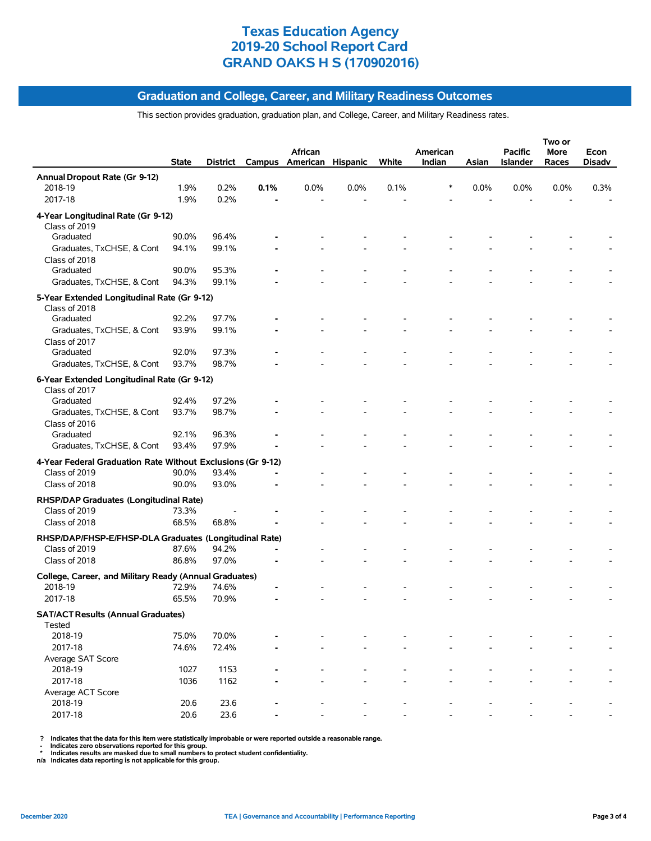## **Graduation and College, Career, and Military Readiness Outcomes**

#### This section provides graduation, graduation plan, and College, Career, and Military Readiness rates.

|                                                                   | <b>State</b> |       |      | African<br>District Campus American Hispanic |      | White | American<br>Indian | Asian   | <b>Pacific</b><br>Islander | Two or<br>More<br>Races | Econ<br>Disadv |
|-------------------------------------------------------------------|--------------|-------|------|----------------------------------------------|------|-------|--------------------|---------|----------------------------|-------------------------|----------------|
| Annual Dropout Rate (Gr 9-12)                                     |              |       |      |                                              |      |       |                    |         |                            |                         |                |
| 2018-19                                                           | 1.9%         | 0.2%  | 0.1% | 0.0%                                         | 0.0% | 0.1%  | *                  | $0.0\%$ | 0.0%                       | 0.0%                    | 0.3%           |
| 2017-18                                                           | 1.9%         | 0.2%  |      |                                              |      |       |                    |         |                            |                         |                |
| 4-Year Longitudinal Rate (Gr 9-12)<br>Class of 2019               |              |       |      |                                              |      |       |                    |         |                            |                         |                |
| Graduated                                                         | 90.0%        | 96.4% |      |                                              |      |       |                    |         |                            |                         |                |
| Graduates, TxCHSE, & Cont<br>Class of 2018                        | 94.1%        | 99.1% |      |                                              |      |       |                    |         |                            |                         |                |
| Graduated                                                         | 90.0%        | 95.3% |      |                                              |      |       |                    |         |                            |                         |                |
| Graduates, TxCHSE, & Cont                                         | 94.3%        | 99.1% |      |                                              |      |       |                    |         |                            |                         |                |
| 5-Year Extended Longitudinal Rate (Gr 9-12)<br>Class of 2018      |              |       |      |                                              |      |       |                    |         |                            |                         |                |
| Graduated                                                         | 92.2%        | 97.7% |      |                                              |      |       |                    |         |                            |                         |                |
| Graduates, TxCHSE, & Cont<br>Class of 2017                        | 93.9%        | 99.1% |      |                                              |      |       |                    |         |                            |                         |                |
| Graduated                                                         | 92.0%        | 97.3% |      |                                              |      |       |                    |         |                            |                         |                |
| Graduates, TxCHSE, & Cont                                         | 93.7%        | 98.7% |      |                                              |      |       |                    |         |                            |                         |                |
| 6-Year Extended Longitudinal Rate (Gr 9-12)<br>Class of 2017      |              |       |      |                                              |      |       |                    |         |                            |                         |                |
| Graduated                                                         | 92.4%        | 97.2% |      |                                              |      |       |                    |         |                            |                         |                |
| Graduates, TxCHSE, & Cont<br>Class of 2016                        | 93.7%        | 98.7% |      |                                              |      |       |                    |         |                            |                         |                |
| Graduated                                                         | 92.1%        | 96.3% |      |                                              |      |       |                    |         |                            |                         |                |
| Graduates, TxCHSE, & Cont                                         | 93.4%        | 97.9% |      |                                              |      |       |                    |         |                            |                         |                |
| 4-Year Federal Graduation Rate Without Exclusions (Gr 9-12)       |              |       |      |                                              |      |       |                    |         |                            |                         |                |
| Class of 2019                                                     | 90.0%        | 93.4% |      |                                              |      |       |                    |         |                            |                         |                |
| Class of 2018                                                     | 90.0%        | 93.0% |      |                                              |      |       |                    |         |                            |                         |                |
| RHSP/DAP Graduates (Longitudinal Rate)                            |              |       |      |                                              |      |       |                    |         |                            |                         |                |
| Class of 2019                                                     | 73.3%        |       |      |                                              |      |       |                    |         |                            |                         |                |
| Class of 2018                                                     | 68.5%        | 68.8% |      |                                              |      |       |                    |         |                            |                         |                |
| RHSP/DAP/FHSP-E/FHSP-DLA Graduates (Longitudinal Rate)            |              |       |      |                                              |      |       |                    |         |                            |                         |                |
| Class of 2019                                                     | 87.6%        | 94.2% |      |                                              |      |       |                    |         |                            |                         |                |
| Class of 2018                                                     | 86.8%        | 97.0% |      |                                              |      |       |                    |         |                            |                         |                |
| College, Career, and Military Ready (Annual Graduates)<br>2018-19 | 72.9%        | 74.6% |      |                                              |      |       |                    |         |                            |                         |                |
| 2017-18                                                           | 65.5%        | 70.9% |      |                                              |      |       |                    |         |                            |                         |                |
| <b>SAT/ACT Results (Annual Graduates)</b>                         |              |       |      |                                              |      |       |                    |         |                            |                         |                |
| Tested<br>2018-19                                                 | 75.0%        | 70.0% |      |                                              |      |       |                    |         |                            |                         |                |
| 2017-18                                                           | 74.6%        | 72.4% |      |                                              |      |       |                    |         |                            |                         |                |
| Average SAT Score<br>2018-19                                      | 1027         | 1153  |      |                                              |      |       |                    |         |                            |                         |                |
| 2017-18                                                           | 1036         | 1162  |      |                                              |      |       |                    |         |                            |                         |                |
| Average ACT Score<br>2018-19                                      | 20.6         | 23.6  |      |                                              |      |       |                    |         |                            |                         |                |
| 2017-18                                                           | 20.6         | 23.6  |      |                                              |      |       |                    |         |                            |                         |                |
|                                                                   |              |       |      |                                              |      |       |                    |         |                            |                         |                |

? Indicates that the data for this item were statistically improbable or were reported outside a reasonable range.<br>- Indicates zero observations reported for this group.<br>\* Indicates results are masked due to small numbers